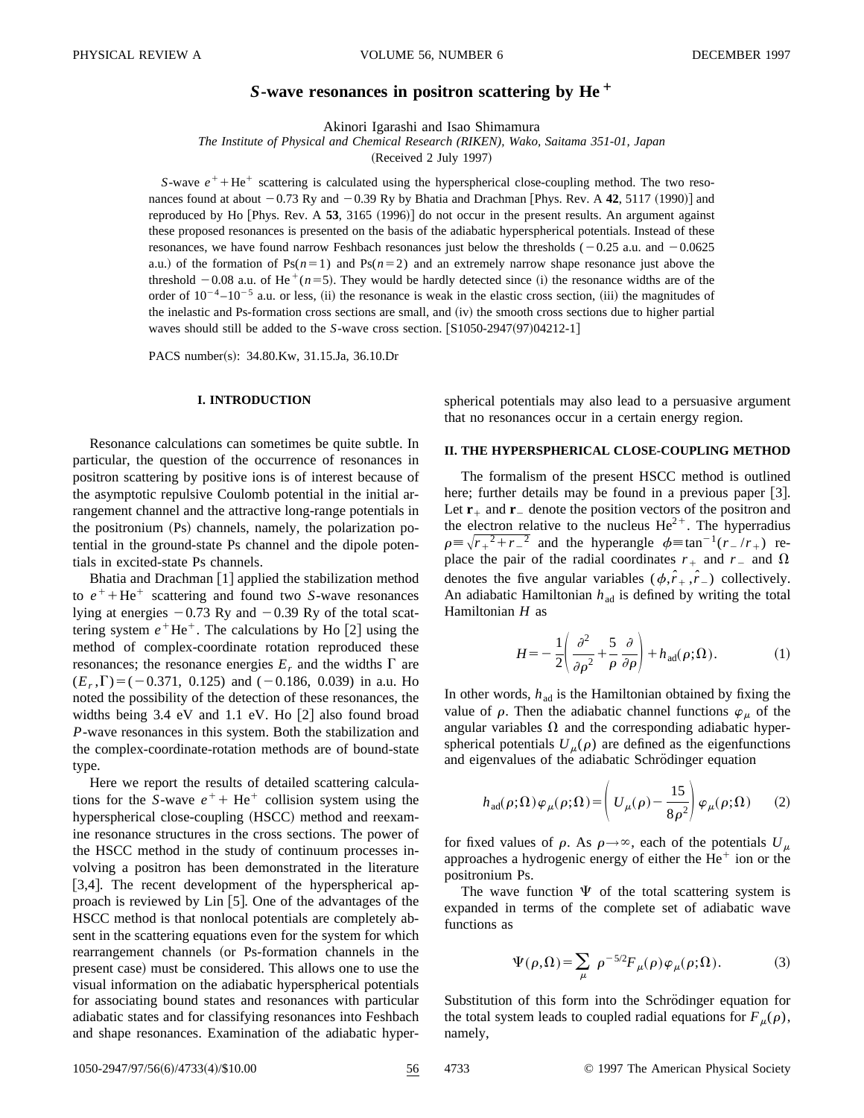# *S***-wave resonances in positron scattering by He**<sup>+</sup>

Akinori Igarashi and Isao Shimamura

*The Institute of Physical and Chemical Research (RIKEN), Wako, Saitama 351-01, Japan*

(Received 2 July 1997)

*S*-wave  $e^+$  + He<sup>+</sup> scattering is calculated using the hyperspherical close-coupling method. The two resonances found at about  $-0.73$  Ry and  $-0.39$  Ry by Bhatia and Drachman [Phys. Rev. A  $42$ , 5117 (1990)] and reproduced by Ho [Phys. Rev. A 53, 3165 (1996)] do not occur in the present results. An argument against these proposed resonances is presented on the basis of the adiabatic hyperspherical potentials. Instead of these resonances, we have found narrow Feshbach resonances just below the thresholds  $(-0.25 \text{ a.u.} \text{ and } -0.0625)$ a.u.) of the formation of  $Ps(n=1)$  and  $Ps(n=2)$  and an extremely narrow shape resonance just above the threshold  $-0.08$  a.u. of He<sup> $+$ </sup>( $n=5$ ). They would be hardly detected since (i) the resonance widths are of the order of  $10^{-4}$  – $10^{-5}$  a.u. or less, (ii) the resonance is weak in the elastic cross section, (iii) the magnitudes of the inelastic and Ps-formation cross sections are small, and  $(iv)$  the smooth cross sections due to higher partial waves should still be added to the  $S$ -wave cross section.  $[S1050-2947(97)04212-1]$ 

PACS number(s): 34.80.Kw, 31.15.Ja, 36.10.Dr

### **I. INTRODUCTION**

Resonance calculations can sometimes be quite subtle. In particular, the question of the occurrence of resonances in positron scattering by positive ions is of interest because of the asymptotic repulsive Coulomb potential in the initial arrangement channel and the attractive long-range potentials in the positronium  $(Ps)$  channels, namely, the polarization potential in the ground-state Ps channel and the dipole potentials in excited-state Ps channels.

Bhatia and Drachman  $[1]$  applied the stabilization method to  $e^+$ +He<sup>+</sup> scattering and found two *S*-wave resonances lying at energies  $-0.73$  Ry and  $-0.39$  Ry of the total scattering system  $e^+$ He<sup>+</sup>. The calculations by Ho  $[2]$  using the method of complex-coordinate rotation reproduced these resonances; the resonance energies  $E_r$  and the widths  $\Gamma$  are  $(E_r, \Gamma) = (-0.371, 0.125)$  and  $(-0.186, 0.039)$  in a.u. Ho noted the possibility of the detection of these resonances, the widths being  $3.4$  eV and  $1.1$  eV. Ho  $[2]$  also found broad *P*-wave resonances in this system. Both the stabilization and the complex-coordinate-rotation methods are of bound-state type.

Here we report the results of detailed scattering calculations for the *S*-wave  $e^+$  + He<sup>+</sup> collision system using the hyperspherical close-coupling (HSCC) method and reexamine resonance structures in the cross sections. The power of the HSCC method in the study of continuum processes involving a positron has been demonstrated in the literature [3,4]. The recent development of the hyperspherical approach is reviewed by  $Lin [5]$ . One of the advantages of the HSCC method is that nonlocal potentials are completely absent in the scattering equations even for the system for which rearrangement channels (or Ps-formation channels in the present case) must be considered. This allows one to use the visual information on the adiabatic hyperspherical potentials for associating bound states and resonances with particular adiabatic states and for classifying resonances into Feshbach and shape resonances. Examination of the adiabatic hyperspherical potentials may also lead to a persuasive argument that no resonances occur in a certain energy region.

#### **II. THE HYPERSPHERICAL CLOSE-COUPLING METHOD**

The formalism of the present HSCC method is outlined here; further details may be found in a previous paper  $[3]$ . Let  $\mathbf{r}_+$  and  $\mathbf{r}_-$  denote the position vectors of the positron and the electron relative to the nucleus  $He^{2+}$ . The hyperradius  $\rho \equiv \sqrt{r_{+}^2+r_{-}^2}$  and the hyperangle  $\phi \equiv \tan^{-1}(r_{-}/r_{+})$  replace the pair of the radial coordinates  $r_+$  and  $r_-$  and  $\Omega$ denotes the five angular variables  $(\phi, \hat{r}_+, \hat{r}_-)$  collectively. An adiabatic Hamiltonian  $h_{\text{ad}}$  is defined by writing the total Hamiltonian *H* as

$$
H = -\frac{1}{2} \left( \frac{\partial^2}{\partial \rho^2} + \frac{5}{\rho} \frac{\partial}{\partial \rho} \right) + h_{\text{ad}}(\rho; \Omega). \tag{1}
$$

In other words,  $h_{\text{ad}}$  is the Hamiltonian obtained by fixing the value of  $\rho$ . Then the adiabatic channel functions  $\varphi_{\mu}$  of the angular variables  $\Omega$  and the corresponding adiabatic hyperspherical potentials  $U_{\mu}(\rho)$  are defined as the eigenfunctions and eigenvalues of the adiabatic Schrödinger equation

$$
h_{\text{ad}}(\rho;\Omega)\varphi_{\mu}(\rho;\Omega) = \left(U_{\mu}(\rho) - \frac{15}{8\rho^2}\right)\varphi_{\mu}(\rho;\Omega) \qquad (2)
$$

for fixed values of  $\rho$ . As  $\rho \rightarrow \infty$ , each of the potentials  $U_{\mu}$ approaches a hydrogenic energy of either the  $He<sup>+</sup>$  ion or the positronium Ps.

The wave function  $\Psi$  of the total scattering system is expanded in terms of the complete set of adiabatic wave functions as

$$
\Psi(\rho,\Omega) = \sum_{\mu} \rho^{-5/2} F_{\mu}(\rho) \varphi_{\mu}(\rho;\Omega). \tag{3}
$$

Substitution of this form into the Schrödinger equation for the total system leads to coupled radial equations for  $F_{\mu}(\rho)$ , namely,

1050-2947/97/56(6)/4733(4)/\$10.00 56 4733 © 1997 The American Physical Society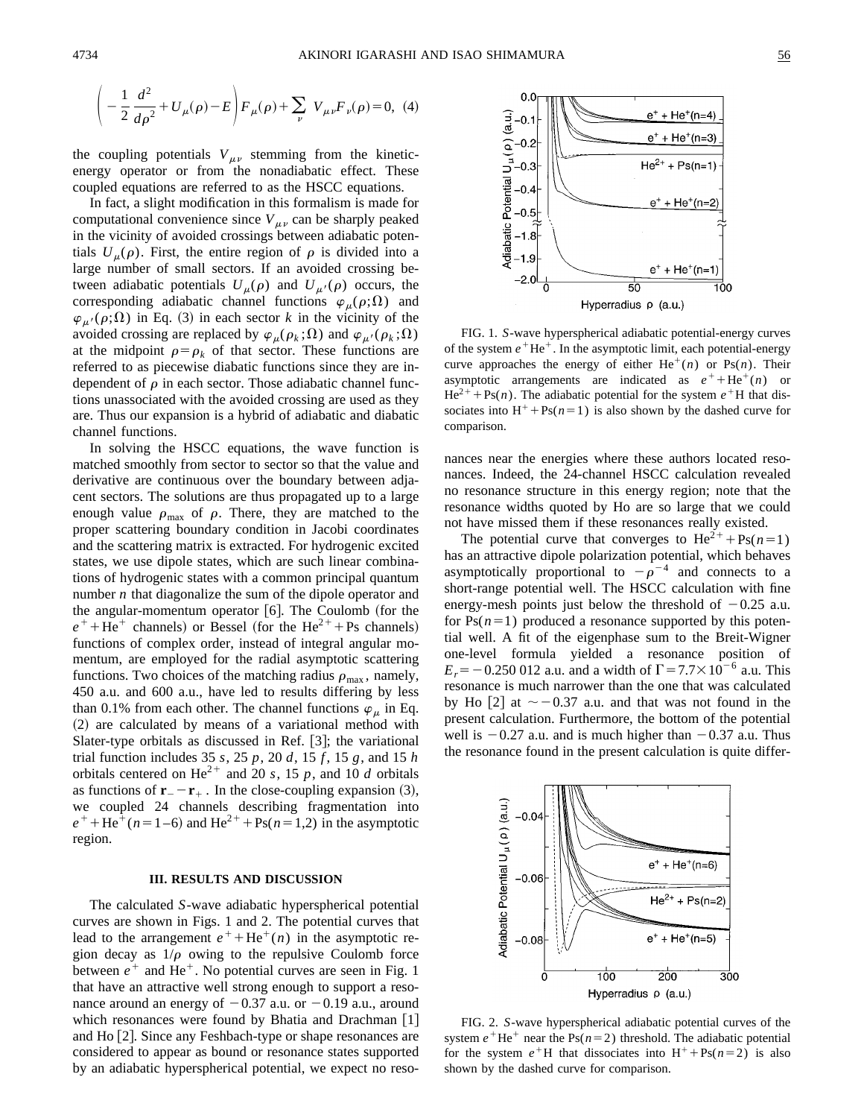$$
\left(-\frac{1}{2}\frac{d^2}{d\rho^2} + U_{\mu}(\rho) - E\right) F_{\mu}(\rho) + \sum_{\nu} V_{\mu\nu} F_{\nu}(\rho) = 0, \tag{4}
$$

the coupling potentials  $V_{\mu\nu}$  stemming from the kineticenergy operator or from the nonadiabatic effect. These coupled equations are referred to as the HSCC equations.

In fact, a slight modification in this formalism is made for computational convenience since  $V_{\mu\nu}$  can be sharply peaked in the vicinity of avoided crossings between adiabatic potentials  $U_{\mu}(\rho)$ . First, the entire region of  $\rho$  is divided into a large number of small sectors. If an avoided crossing between adiabatic potentials  $U_{\mu}(\rho)$  and  $U_{\mu}(\rho)$  occurs, the corresponding adiabatic channel functions  $\varphi_\mu(\rho;\Omega)$  and  $\varphi_{\mu'}(\rho;\Omega)$  in Eq. (3) in each sector *k* in the vicinity of the avoided crossing are replaced by  $\varphi_{\mu}(\rho_k;\Omega)$  and  $\varphi_{\mu'}(\rho_k;\Omega)$ at the midpoint  $\rho = \rho_k$  of that sector. These functions are referred to as piecewise diabatic functions since they are independent of  $\rho$  in each sector. Those adiabatic channel functions unassociated with the avoided crossing are used as they are. Thus our expansion is a hybrid of adiabatic and diabatic channel functions.

In solving the HSCC equations, the wave function is matched smoothly from sector to sector so that the value and derivative are continuous over the boundary between adjacent sectors. The solutions are thus propagated up to a large enough value  $\rho_{\text{max}}$  of  $\rho$ . There, they are matched to the proper scattering boundary condition in Jacobi coordinates and the scattering matrix is extracted. For hydrogenic excited states, we use dipole states, which are such linear combinations of hydrogenic states with a common principal quantum number *n* that diagonalize the sum of the dipole operator and the angular-momentum operator  $[6]$ . The Coulomb (for the  $e^+$ +He<sup>+</sup> channels) or Bessel (for the He<sup>2+</sup>+Ps channels) functions of complex order, instead of integral angular momentum, are employed for the radial asymptotic scattering functions. Two choices of the matching radius  $\rho_{\text{max}}$ , namely, 450 a.u. and 600 a.u., have led to results differing by less than 0.1% from each other. The channel functions  $\varphi_{\mu}$  in Eq.  $(2)$  are calculated by means of a variational method with Slater-type orbitals as discussed in Ref.  $[3]$ ; the variational trial function includes 35 *s*, 25 *p*, 20 *d*, 15 *f* , 15 *g*, and 15 *h* orbitals centered on  $\text{He}^{2+}$  and 20 *s*, 15 *p*, and 10 *d* orbitals as functions of  $\mathbf{r}_{-} - \mathbf{r}_{+}$ . In the close-coupling expansion (3), we coupled 24 channels describing fragmentation into  $e^{+}$  + He<sup>+</sup>( $n=1-6$ ) and He<sup>2+</sup> + Ps( $n=1,2$ ) in the asymptotic region.

#### **III. RESULTS AND DISCUSSION**

The calculated *S*-wave adiabatic hyperspherical potential curves are shown in Figs. 1 and 2. The potential curves that lead to the arrangement  $e^+$ +He<sup>+</sup>(*n*) in the asymptotic region decay as  $1/\rho$  owing to the repulsive Coulomb force between  $e^+$  and He<sup>+</sup>. No potential curves are seen in Fig. 1 that have an attractive well strong enough to support a resonance around an energy of  $-0.37$  a.u. or  $-0.19$  a.u., around which resonances were found by Bhatia and Drachman  $[1]$ and Ho [2]. Since any Feshbach-type or shape resonances are considered to appear as bound or resonance states supported by an adiabatic hyperspherical potential, we expect no reso-



FIG. 1. *S*-wave hyperspherical adiabatic potential-energy curves of the system  $e^+$ He<sup>+</sup>. In the asymptotic limit, each potential-energy curve approaches the energy of either  $He^+(n)$  or  $Ps(n)$ . Their asymptotic arrangements are indicated as  $e^+ + He^+(n)$  or  $He^{2+} + Ps(n)$ . The adiabatic potential for the system  $e^{+}H$  that dissociates into  $H^+$ +Ps( $n=1$ ) is also shown by the dashed curve for comparison.

nances near the energies where these authors located resonances. Indeed, the 24-channel HSCC calculation revealed no resonance structure in this energy region; note that the resonance widths quoted by Ho are so large that we could not have missed them if these resonances really existed.

The potential curve that converges to  $\text{He}^{2+} + \text{Ps}(n=1)$ has an attractive dipole polarization potential, which behaves asymptotically proportional to  $-\rho^{-4}$  and connects to a short-range potential well. The HSCC calculation with fine energy-mesh points just below the threshold of  $-0.25$  a.u. for  $Ps(n=1)$  produced a resonance supported by this potential well. A fit of the eigenphase sum to the Breit-Wigner one-level formula yielded a resonance position of  $E_r = -0.250\,012$  a.u. and a width of  $\Gamma = 7.7 \times 10^{-6}$  a.u. This resonance is much narrower than the one that was calculated by Ho [2] at  $\sim$  -0.37 a.u. and that was not found in the present calculation. Furthermore, the bottom of the potential well is  $-0.27$  a.u. and is much higher than  $-0.37$  a.u. Thus the resonance found in the present calculation is quite differ-



FIG. 2. *S*-wave hyperspherical adiabatic potential curves of the system  $e^{\dagger}$ He<sup> $+$ </sup> near the Ps( $n=2$ ) threshold. The adiabatic potential for the system  $e^{\dagger}$ H that dissociates into  $H^+$ +Ps(*n*=2) is also shown by the dashed curve for comparison.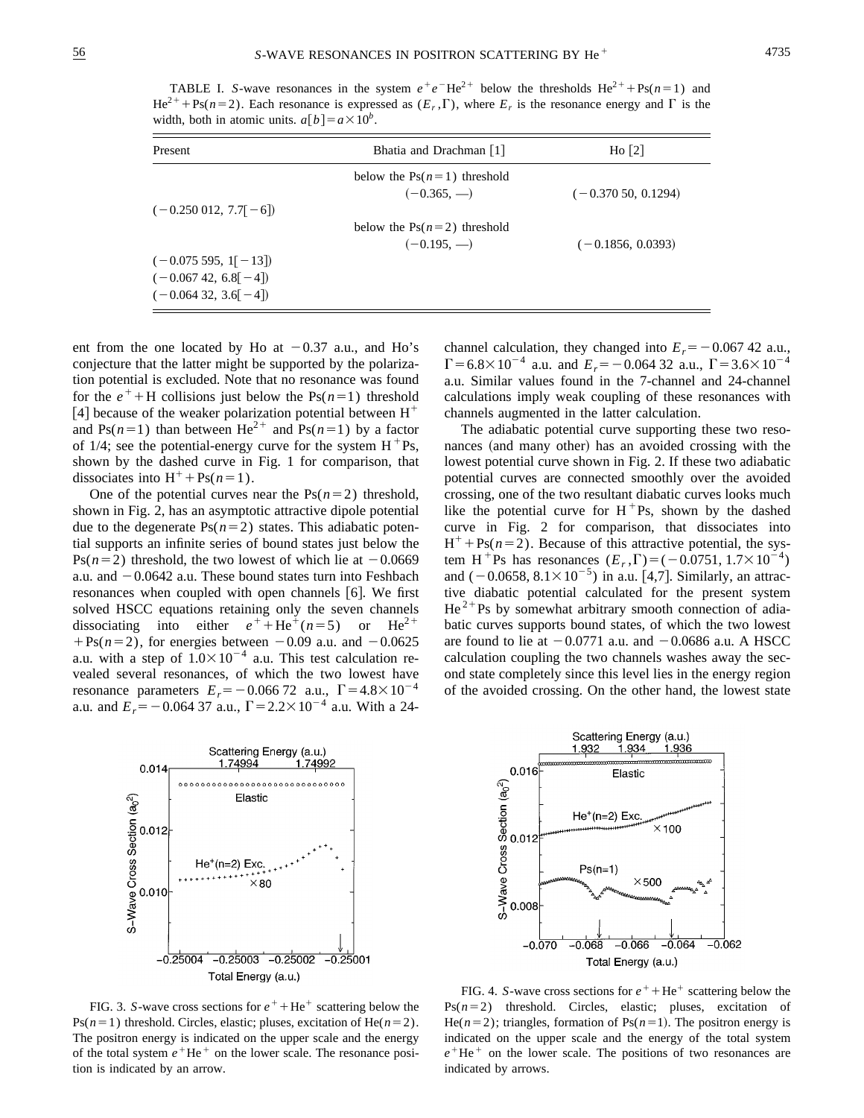TABLE I. *S*-wave resonances in the system  $e^+e^-He^{2+}$  below the thresholds He<sup>2+</sup> + Ps( $n=1$ ) and  $He^{2+}$ +Ps( $n=2$ ). Each resonance is expressed as  $(E_r, \Gamma)$ , where  $E_r$  is the resonance energy and  $\Gamma$  is the width, both in atomic units.  $a[b] = a \times 10^b$ .

| Present                  | Bhatia and Drachman [1]                        | Ho [2]               |
|--------------------------|------------------------------------------------|----------------------|
|                          | below the $Ps(n=1)$ threshold<br>$(-0.365, -)$ | $(-0.37050, 0.1294)$ |
| $(-0.250\,012, 7.7[-6])$ |                                                |                      |
|                          | below the $Ps(n=2)$ threshold                  |                      |
|                          | $(-0.195, -)$                                  | $(-0.1856, 0.0393)$  |
| $(-0.075595, 1[-13])$    |                                                |                      |
| $(-0.06742, 6.8[-4])$    |                                                |                      |
| $(-0.064\,32, 3.6[-4])$  |                                                |                      |

ent from the one located by Ho at  $-0.37$  a.u., and Ho's conjecture that the latter might be supported by the polarization potential is excluded. Note that no resonance was found for the  $e^+$ +H collisions just below the Ps( $n=1$ ) threshold [4] because of the weaker polarization potential between  $H^+$ and Ps( $n=1$ ) than between He<sup>2+</sup> and Ps( $n=1$ ) by a factor of 1/4; see the potential-energy curve for the system  $H^+Ps$ , shown by the dashed curve in Fig. 1 for comparison, that dissociates into  $H^+$ +Ps( $n=1$ ).

One of the potential curves near the  $Ps(n=2)$  threshold, shown in Fig. 2, has an asymptotic attractive dipole potential due to the degenerate  $Ps(n=2)$  states. This adiabatic potential supports an infinite series of bound states just below the Ps( $n=2$ ) threshold, the two lowest of which lie at  $-0.0669$ a.u. and  $-0.0642$  a.u. These bound states turn into Feshbach resonances when coupled with open channels  $[6]$ . We first solved HSCC equations retaining only the seven channels dissociating into either  $e^+ + He^+(n=5)$  or  $He^{2+}$  $+Ps(n=2)$ , for energies between  $-0.09$  a.u. and  $-0.0625$ a.u. with a step of  $1.0 \times 10^{-4}$  a.u. This test calculation revealed several resonances, of which the two lowest have resonance parameters  $E_r = -0.066 72$  a.u.,  $\Gamma = 4.8 \times 10^{-4}$ a.u. and  $E_r = -0.064$  37 a.u.,  $\Gamma = 2.2 \times 10^{-4}$  a.u. With a 24-



FIG. 3. *S*-wave cross sections for  $e^+$  + He<sup>+</sup> scattering below the Ps( $n=1$ ) threshold. Circles, elastic; pluses, excitation of He( $n=2$ ). The positron energy is indicated on the upper scale and the energy of the total system  $e^+$ He<sup> $+$ </sup> on the lower scale. The resonance position is indicated by an arrow.

channel calculation, they changed into  $E_r = -0.067$  42 a.u.,  $\Gamma$ =6.8×10<sup>-4</sup> a.u. and  $E_r$ = -0.064 32 a.u.,  $\Gamma$ =3.6×10<sup>-4</sup> a.u. Similar values found in the 7-channel and 24-channel calculations imply weak coupling of these resonances with channels augmented in the latter calculation.

The adiabatic potential curve supporting these two resonances (and many other) has an avoided crossing with the lowest potential curve shown in Fig. 2. If these two adiabatic potential curves are connected smoothly over the avoided crossing, one of the two resultant diabatic curves looks much like the potential curve for  $H<sup>+</sup>Ps$ , shown by the dashed curve in Fig. 2 for comparison, that dissociates into  $H^+$ +Ps( $n=2$ ). Because of this attractive potential, the system H<sup>+</sup>Ps has resonances  $(E_r, \Gamma) = (-0.0751, 1.7 \times 10^{-4})$ and  $(-0.0658, 8.1 \times 10^{-5})$  in a.u. [4,7]. Similarly, an attractive diabatic potential calculated for the present system  $He<sup>2+</sup>Ps$  by somewhat arbitrary smooth connection of adiabatic curves supports bound states, of which the two lowest are found to lie at  $-0.0771$  a.u. and  $-0.0686$  a.u. A HSCC calculation coupling the two channels washes away the second state completely since this level lies in the energy region of the avoided crossing. On the other hand, the lowest state



FIG. 4. *S*-wave cross sections for  $e^+$  + He<sup>+</sup> scattering below the  $Ps(n=2)$  threshold. Circles, elastic; pluses, excitation of He( $n=2$ ); triangles, formation of Ps( $n=1$ ). The positron energy is indicated on the upper scale and the energy of the total system  $e^+$ He<sup> $+$ </sup> on the lower scale. The positions of two resonances are indicated by arrows.